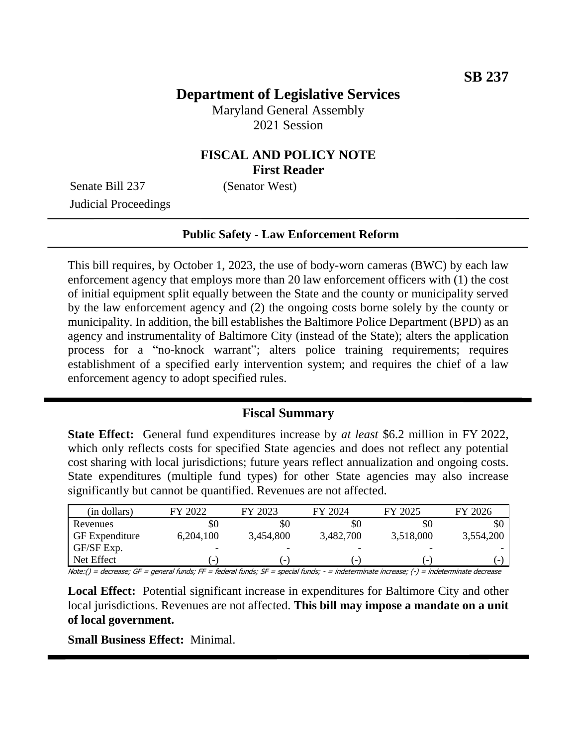# **Department of Legislative Services**

Maryland General Assembly 2021 Session

# **FISCAL AND POLICY NOTE First Reader**

Senate Bill 237 (Senator West) Judicial Proceedings

#### **Public Safety - Law Enforcement Reform**

This bill requires, by October 1, 2023, the use of body-worn cameras (BWC) by each law enforcement agency that employs more than 20 law enforcement officers with (1) the cost of initial equipment split equally between the State and the county or municipality served by the law enforcement agency and (2) the ongoing costs borne solely by the county or municipality. In addition, the bill establishes the Baltimore Police Department (BPD) as an agency and instrumentality of Baltimore City (instead of the State); alters the application process for a "no-knock warrant"; alters police training requirements; requires establishment of a specified early intervention system; and requires the chief of a law enforcement agency to adopt specified rules.

### **Fiscal Summary**

**State Effect:** General fund expenditures increase by *at least* \$6.2 million in FY 2022, which only reflects costs for specified State agencies and does not reflect any potential cost sharing with local jurisdictions; future years reflect annualization and ongoing costs. State expenditures (multiple fund types) for other State agencies may also increase significantly but cannot be quantified. Revenues are not affected.

| (in dollars)                                                                                                                                                                                                                                                                                             | FY 2022                                                                                                                        | FY 2023                  | FY 2024                  | FY 2025                  | FY 2026   |
|----------------------------------------------------------------------------------------------------------------------------------------------------------------------------------------------------------------------------------------------------------------------------------------------------------|--------------------------------------------------------------------------------------------------------------------------------|--------------------------|--------------------------|--------------------------|-----------|
| Revenues                                                                                                                                                                                                                                                                                                 | \$0                                                                                                                            | \$0                      | \$0                      | \$0                      | ЖU        |
| <b>GF</b> Expenditure                                                                                                                                                                                                                                                                                    | 6,204,100                                                                                                                      | 3,454,800                | 3,482,700                | 3,518,000                | 3,554,200 |
| GF/SF Exp.                                                                                                                                                                                                                                                                                               | -                                                                                                                              |                          |                          |                          |           |
| Net Effect                                                                                                                                                                                                                                                                                               | $\overline{\phantom{a}}$                                                                                                       | $\overline{\phantom{0}}$ | $\overline{\phantom{0}}$ | $\overline{\phantom{0}}$ |           |
| $M_{\odot}$ $I_{\odot}$ $I_{\odot}$ $I_{\odot}$ $I_{\odot}$ $I_{\odot}$ $I_{\odot}$ $I_{\odot}$ $I_{\odot}$ $I_{\odot}$ $I_{\odot}$ $I_{\odot}$ $I_{\odot}$ $I_{\odot}$ $I_{\odot}$ $I_{\odot}$ $I_{\odot}$ $I_{\odot}$ $I_{\odot}$ $I_{\odot}$ $I_{\odot}$ $I_{\odot}$ $I_{\odot}$ $I_{\odot}$ $I_{\od$ | $\mathcal{L}$ . The same set $\mathcal{L}$ is the set of $\mathcal{L}$ is the set of $\mathcal{L}$ is the set of $\mathcal{L}$ |                          |                          |                          |           |

Note:() = decrease; GF = general funds; FF = federal funds; SF = special funds; - = indeterminate increase; (-) = indeterminate decrease

**Local Effect:** Potential significant increase in expenditures for Baltimore City and other local jurisdictions. Revenues are not affected. **This bill may impose a mandate on a unit of local government.**

**Small Business Effect:** Minimal.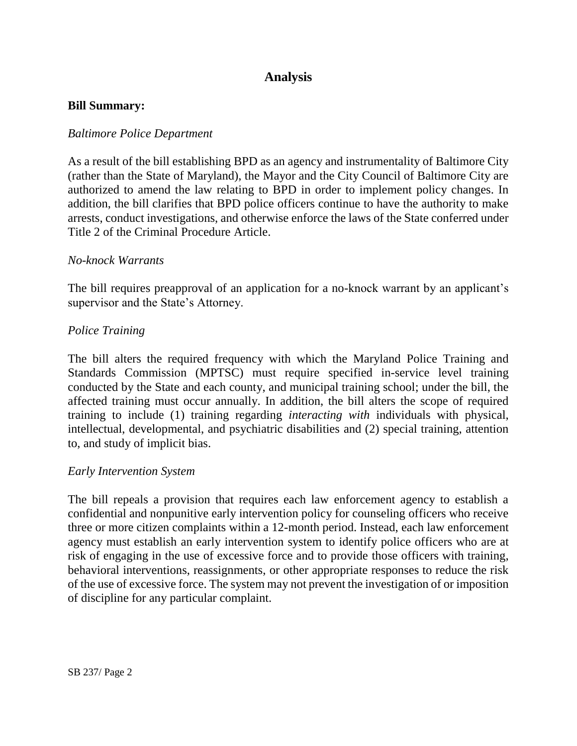# **Analysis**

#### **Bill Summary:**

#### *Baltimore Police Department*

As a result of the bill establishing BPD as an agency and instrumentality of Baltimore City (rather than the State of Maryland), the Mayor and the City Council of Baltimore City are authorized to amend the law relating to BPD in order to implement policy changes. In addition, the bill clarifies that BPD police officers continue to have the authority to make arrests, conduct investigations, and otherwise enforce the laws of the State conferred under Title 2 of the Criminal Procedure Article.

#### *No-knock Warrants*

The bill requires preapproval of an application for a no-knock warrant by an applicant's supervisor and the State's Attorney.

#### *Police Training*

The bill alters the required frequency with which the Maryland Police Training and Standards Commission (MPTSC) must require specified in-service level training conducted by the State and each county, and municipal training school; under the bill, the affected training must occur annually. In addition, the bill alters the scope of required training to include (1) training regarding *interacting with* individuals with physical, intellectual, developmental, and psychiatric disabilities and (2) special training, attention to, and study of implicit bias.

#### *Early Intervention System*

The bill repeals a provision that requires each law enforcement agency to establish a confidential and nonpunitive early intervention policy for counseling officers who receive three or more citizen complaints within a 12-month period. Instead, each law enforcement agency must establish an early intervention system to identify police officers who are at risk of engaging in the use of excessive force and to provide those officers with training, behavioral interventions, reassignments, or other appropriate responses to reduce the risk of the use of excessive force. The system may not prevent the investigation of or imposition of discipline for any particular complaint.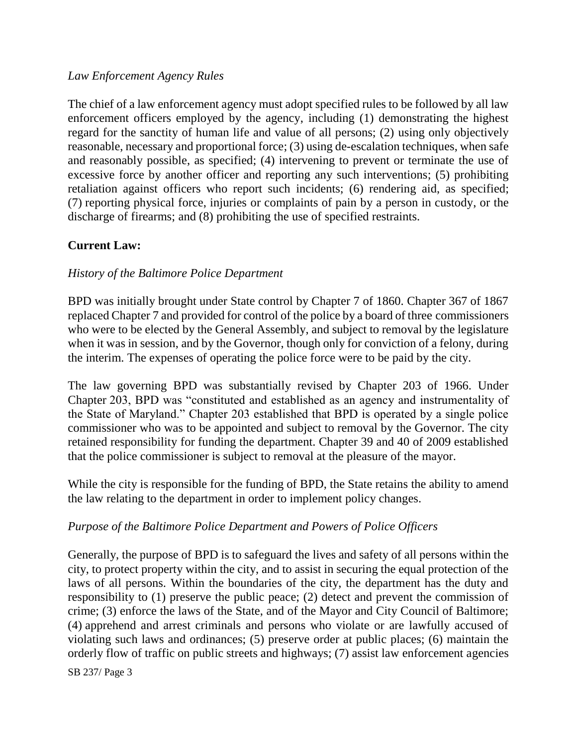### *Law Enforcement Agency Rules*

The chief of a law enforcement agency must adopt specified rules to be followed by all law enforcement officers employed by the agency, including (1) demonstrating the highest regard for the sanctity of human life and value of all persons; (2) using only objectively reasonable, necessary and proportional force; (3) using de-escalation techniques, when safe and reasonably possible, as specified; (4) intervening to prevent or terminate the use of excessive force by another officer and reporting any such interventions; (5) prohibiting retaliation against officers who report such incidents; (6) rendering aid, as specified; (7) reporting physical force, injuries or complaints of pain by a person in custody, or the discharge of firearms; and (8) prohibiting the use of specified restraints.

## **Current Law:**

### *History of the Baltimore Police Department*

BPD was initially brought under State control by Chapter 7 of 1860. Chapter 367 of 1867 replaced Chapter 7 and provided for control of the police by a board of three commissioners who were to be elected by the General Assembly, and subject to removal by the legislature when it was in session, and by the Governor, though only for conviction of a felony, during the interim. The expenses of operating the police force were to be paid by the city.

The law governing BPD was substantially revised by Chapter 203 of 1966. Under Chapter 203, BPD was "constituted and established as an agency and instrumentality of the State of Maryland." Chapter 203 established that BPD is operated by a single police commissioner who was to be appointed and subject to removal by the Governor. The city retained responsibility for funding the department. Chapter 39 and 40 of 2009 established that the police commissioner is subject to removal at the pleasure of the mayor.

While the city is responsible for the funding of BPD, the State retains the ability to amend the law relating to the department in order to implement policy changes.

#### *Purpose of the Baltimore Police Department and Powers of Police Officers*

Generally, the purpose of BPD is to safeguard the lives and safety of all persons within the city, to protect property within the city, and to assist in securing the equal protection of the laws of all persons. Within the boundaries of the city, the department has the duty and responsibility to (1) preserve the public peace; (2) detect and prevent the commission of crime; (3) enforce the laws of the State, and of the Mayor and City Council of Baltimore; (4) apprehend and arrest criminals and persons who violate or are lawfully accused of violating such laws and ordinances; (5) preserve order at public places; (6) maintain the orderly flow of traffic on public streets and highways; (7) assist law enforcement agencies

SB 237/ Page 3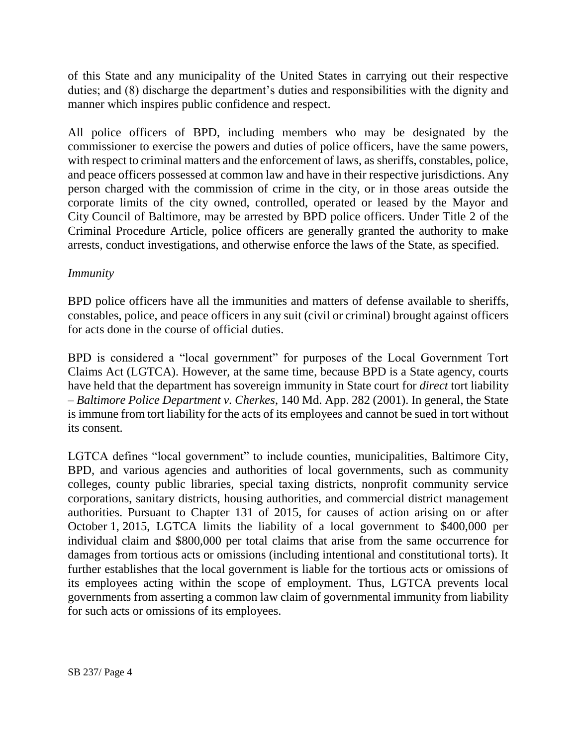of this State and any municipality of the United States in carrying out their respective duties; and (8) discharge the department's duties and responsibilities with the dignity and manner which inspires public confidence and respect.

All police officers of BPD, including members who may be designated by the commissioner to exercise the powers and duties of police officers, have the same powers, with respect to criminal matters and the enforcement of laws, as sheriffs, constables, police, and peace officers possessed at common law and have in their respective jurisdictions. Any person charged with the commission of crime in the city, or in those areas outside the corporate limits of the city owned, controlled, operated or leased by the Mayor and City Council of Baltimore, may be arrested by BPD police officers. Under Title 2 of the Criminal Procedure Article, police officers are generally granted the authority to make arrests, conduct investigations, and otherwise enforce the laws of the State, as specified.

### *Immunity*

BPD police officers have all the immunities and matters of defense available to sheriffs, constables, police, and peace officers in any suit (civil or criminal) brought against officers for acts done in the course of official duties.

BPD is considered a "local government" for purposes of the Local Government Tort Claims Act (LGTCA). However, at the same time, because BPD is a State agency, courts have held that the department has sovereign immunity in State court for *direct* tort liability – *Baltimore Police Department v. Cherkes*, 140 Md. App. 282 (2001). In general, the State is immune from tort liability for the acts of its employees and cannot be sued in tort without its consent.

LGTCA defines "local government" to include counties, municipalities, Baltimore City, BPD, and various agencies and authorities of local governments, such as community colleges, county public libraries, special taxing districts, nonprofit community service corporations, sanitary districts, housing authorities, and commercial district management authorities. Pursuant to Chapter 131 of 2015, for causes of action arising on or after October 1, 2015, LGTCA limits the liability of a local government to \$400,000 per individual claim and \$800,000 per total claims that arise from the same occurrence for damages from tortious acts or omissions (including intentional and constitutional torts). It further establishes that the local government is liable for the tortious acts or omissions of its employees acting within the scope of employment. Thus, LGTCA prevents local governments from asserting a common law claim of governmental immunity from liability for such acts or omissions of its employees.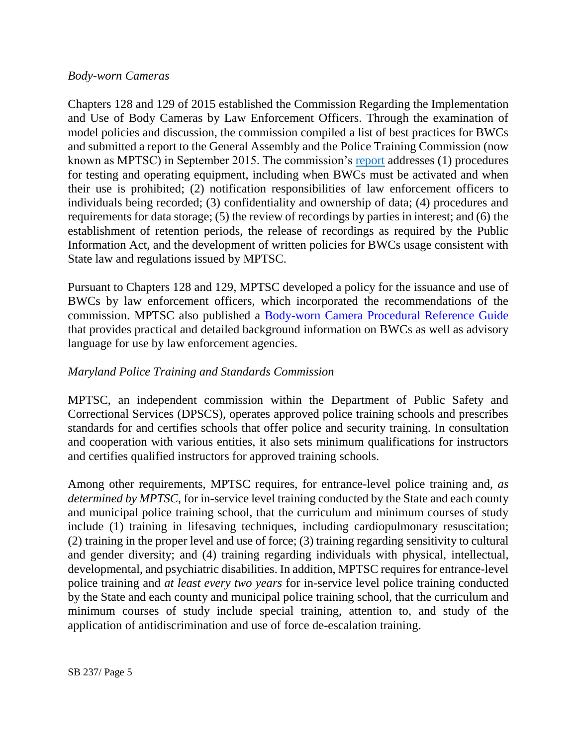### *Body-worn Cameras*

Chapters 128 and 129 of 2015 established the Commission Regarding the Implementation and Use of Body Cameras by Law Enforcement Officers. Through the examination of model policies and discussion, the commission compiled a list of best practices for BWCs and submitted a report to the General Assembly and the Police Training Commission (now known as MPTSC) in September 2015. The commission's [report](http://dlslibrary.state.md.us/publications/Exec/GOCCP/HB533Ch129(2)_2015.pdf) addresses (1) procedures for testing and operating equipment, including when BWCs must be activated and when their use is prohibited; (2) notification responsibilities of law enforcement officers to individuals being recorded; (3) confidentiality and ownership of data; (4) procedures and requirements for data storage; (5) the review of recordings by parties in interest; and (6) the establishment of retention periods, the release of recordings as required by the Public Information Act, and the development of written policies for BWCs usage consistent with State law and regulations issued by MPTSC.

Pursuant to Chapters 128 and 129, MPTSC developed a policy for the issuance and use of BWCs by law enforcement officers, which incorporated the recommendations of the commission. MPTSC also published a [Body-worn Camera Procedural Reference Guide](http://www.mdle.net/pdf/Body-worn_Camera_Procedural_Reference_Guide.pdf) that provides practical and detailed background information on BWCs as well as advisory language for use by law enforcement agencies.

### *Maryland Police Training and Standards Commission*

MPTSC, an independent commission within the Department of Public Safety and Correctional Services (DPSCS), operates approved police training schools and prescribes standards for and certifies schools that offer police and security training. In consultation and cooperation with various entities, it also sets minimum qualifications for instructors and certifies qualified instructors for approved training schools.

Among other requirements, MPTSC requires, for entrance-level police training and, *as determined by MPTSC*, for in-service level training conducted by the State and each county and municipal police training school, that the curriculum and minimum courses of study include (1) training in lifesaving techniques, including cardiopulmonary resuscitation; (2) training in the proper level and use of force; (3) training regarding sensitivity to cultural and gender diversity; and (4) training regarding individuals with physical, intellectual, developmental, and psychiatric disabilities. In addition, MPTSC requires for entrance-level police training and *at least every two years* for in-service level police training conducted by the State and each county and municipal police training school, that the curriculum and minimum courses of study include special training, attention to, and study of the application of antidiscrimination and use of force de-escalation training.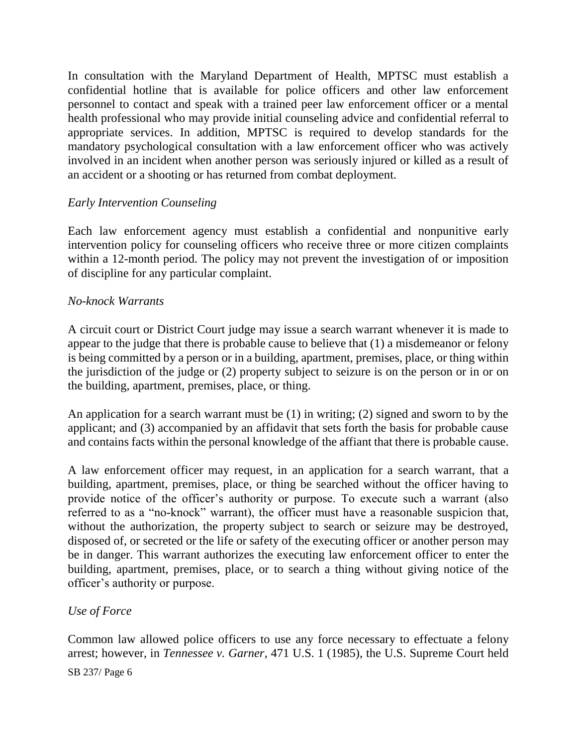In consultation with the Maryland Department of Health, MPTSC must establish a confidential hotline that is available for police officers and other law enforcement personnel to contact and speak with a trained peer law enforcement officer or a mental health professional who may provide initial counseling advice and confidential referral to appropriate services. In addition, MPTSC is required to develop standards for the mandatory psychological consultation with a law enforcement officer who was actively involved in an incident when another person was seriously injured or killed as a result of an accident or a shooting or has returned from combat deployment.

### *Early Intervention Counseling*

Each law enforcement agency must establish a confidential and nonpunitive early intervention policy for counseling officers who receive three or more citizen complaints within a 12-month period. The policy may not prevent the investigation of or imposition of discipline for any particular complaint.

#### *No-knock Warrants*

A circuit court or District Court judge may issue a search warrant whenever it is made to appear to the judge that there is probable cause to believe that (1) a misdemeanor or felony is being committed by a person or in a building, apartment, premises, place, or thing within the jurisdiction of the judge or (2) property subject to seizure is on the person or in or on the building, apartment, premises, place, or thing.

An application for a search warrant must be (1) in writing; (2) signed and sworn to by the applicant; and (3) accompanied by an affidavit that sets forth the basis for probable cause and contains facts within the personal knowledge of the affiant that there is probable cause.

A law enforcement officer may request, in an application for a search warrant, that a building, apartment, premises, place, or thing be searched without the officer having to provide notice of the officer's authority or purpose. To execute such a warrant (also referred to as a "no-knock" warrant), the officer must have a reasonable suspicion that, without the authorization, the property subject to search or seizure may be destroyed, disposed of, or secreted or the life or safety of the executing officer or another person may be in danger. This warrant authorizes the executing law enforcement officer to enter the building, apartment, premises, place, or to search a thing without giving notice of the officer's authority or purpose.

#### *Use of Force*

Common law allowed police officers to use any force necessary to effectuate a felony arrest; however, in *Tennessee v. Garner*, 471 U.S. 1 (1985), the U.S. Supreme Court held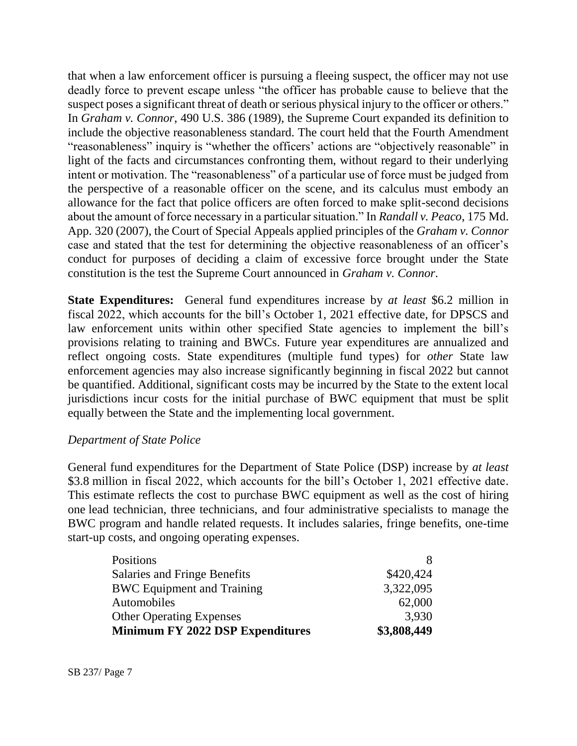that when a law enforcement officer is pursuing a fleeing suspect, the officer may not use deadly force to prevent escape unless "the officer has probable cause to believe that the suspect poses a significant threat of death or serious physical injury to the officer or others." In *Graham v. Connor*, 490 U.S. 386 (1989), the Supreme Court expanded its definition to include the objective reasonableness standard. The court held that the Fourth Amendment "reasonableness" inquiry is "whether the officers' actions are "objectively reasonable" in light of the facts and circumstances confronting them, without regard to their underlying intent or motivation. The "reasonableness" of a particular use of force must be judged from the perspective of a reasonable officer on the scene, and its calculus must embody an allowance for the fact that police officers are often forced to make split-second decisions about the amount of force necessary in a particular situation." In *Randall v. Peaco*, 175 Md. App. 320 (2007), the Court of Special Appeals applied principles of the *Graham v. Connor* case and stated that the test for determining the objective reasonableness of an officer's conduct for purposes of deciding a claim of excessive force brought under the State constitution is the test the Supreme Court announced in *Graham v. Connor*.

**State Expenditures:** General fund expenditures increase by *at least* \$6.2 million in fiscal 2022, which accounts for the bill's October 1, 2021 effective date, for DPSCS and law enforcement units within other specified State agencies to implement the bill's provisions relating to training and BWCs. Future year expenditures are annualized and reflect ongoing costs. State expenditures (multiple fund types) for *other* State law enforcement agencies may also increase significantly beginning in fiscal 2022 but cannot be quantified. Additional, significant costs may be incurred by the State to the extent local jurisdictions incur costs for the initial purchase of BWC equipment that must be split equally between the State and the implementing local government.

#### *Department of State Police*

General fund expenditures for the Department of State Police (DSP) increase by *at least* \$3.8 million in fiscal 2022, which accounts for the bill's October 1, 2021 effective date. This estimate reflects the cost to purchase BWC equipment as well as the cost of hiring one lead technician, three technicians, and four administrative specialists to manage the BWC program and handle related requests. It includes salaries, fringe benefits, one-time start-up costs, and ongoing operating expenses.

| Positions                               |             |
|-----------------------------------------|-------------|
| Salaries and Fringe Benefits            | \$420,424   |
| <b>BWC</b> Equipment and Training       | 3,322,095   |
| Automobiles                             | 62,000      |
| <b>Other Operating Expenses</b>         | 3,930       |
| <b>Minimum FY 2022 DSP Expenditures</b> | \$3,808,449 |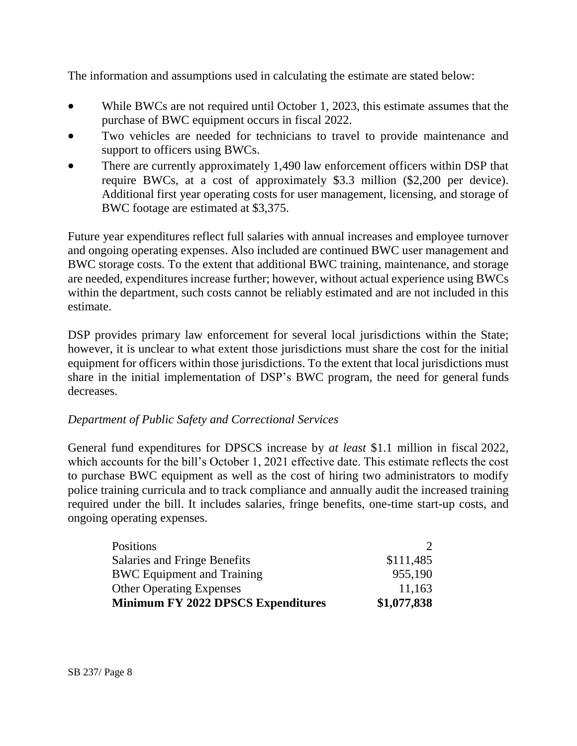The information and assumptions used in calculating the estimate are stated below:

- While BWCs are not required until October 1, 2023, this estimate assumes that the purchase of BWC equipment occurs in fiscal 2022.
- Two vehicles are needed for technicians to travel to provide maintenance and support to officers using BWCs.
- There are currently approximately 1,490 law enforcement officers within DSP that require BWCs, at a cost of approximately \$3.3 million (\$2,200 per device). Additional first year operating costs for user management, licensing, and storage of BWC footage are estimated at \$3,375.

Future year expenditures reflect full salaries with annual increases and employee turnover and ongoing operating expenses. Also included are continued BWC user management and BWC storage costs. To the extent that additional BWC training, maintenance, and storage are needed, expenditures increase further; however, without actual experience using BWCs within the department, such costs cannot be reliably estimated and are not included in this estimate.

DSP provides primary law enforcement for several local jurisdictions within the State; however, it is unclear to what extent those jurisdictions must share the cost for the initial equipment for officers within those jurisdictions. To the extent that local jurisdictions must share in the initial implementation of DSP's BWC program, the need for general funds decreases.

### *Department of Public Safety and Correctional Services*

General fund expenditures for DPSCS increase by *at least* \$1.1 million in fiscal 2022, which accounts for the bill's October 1, 2021 effective date. This estimate reflects the cost to purchase BWC equipment as well as the cost of hiring two administrators to modify police training curricula and to track compliance and annually audit the increased training required under the bill. It includes salaries, fringe benefits, one-time start-up costs, and ongoing operating expenses.

| Positions                                 |             |
|-------------------------------------------|-------------|
| Salaries and Fringe Benefits              | \$111,485   |
| <b>BWC</b> Equipment and Training         | 955,190     |
| <b>Other Operating Expenses</b>           | 11,163      |
| <b>Minimum FY 2022 DPSCS Expenditures</b> | \$1,077,838 |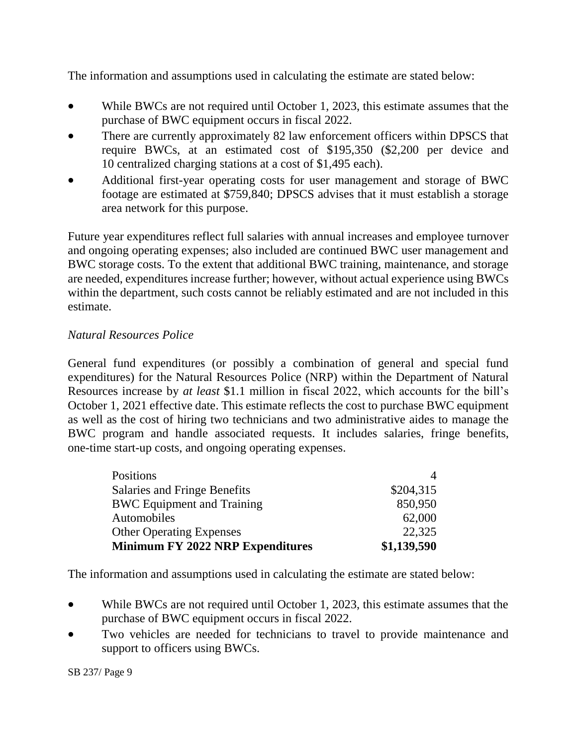The information and assumptions used in calculating the estimate are stated below:

- While BWCs are not required until October 1, 2023, this estimate assumes that the purchase of BWC equipment occurs in fiscal 2022.
- There are currently approximately 82 law enforcement officers within DPSCS that require BWCs, at an estimated cost of \$195,350 (\$2,200 per device and 10 centralized charging stations at a cost of \$1,495 each).
- Additional first-year operating costs for user management and storage of BWC footage are estimated at \$759,840; DPSCS advises that it must establish a storage area network for this purpose.

Future year expenditures reflect full salaries with annual increases and employee turnover and ongoing operating expenses; also included are continued BWC user management and BWC storage costs. To the extent that additional BWC training, maintenance, and storage are needed, expenditures increase further; however, without actual experience using BWCs within the department, such costs cannot be reliably estimated and are not included in this estimate.

### *Natural Resources Police*

General fund expenditures (or possibly a combination of general and special fund expenditures) for the Natural Resources Police (NRP) within the Department of Natural Resources increase by *at least* \$1.1 million in fiscal 2022, which accounts for the bill's October 1, 2021 effective date. This estimate reflects the cost to purchase BWC equipment as well as the cost of hiring two technicians and two administrative aides to manage the BWC program and handle associated requests. It includes salaries, fringe benefits, one-time start-up costs, and ongoing operating expenses.

| Positions                               |             |
|-----------------------------------------|-------------|
| Salaries and Fringe Benefits            | \$204,315   |
| <b>BWC</b> Equipment and Training       | 850,950     |
| Automobiles                             | 62,000      |
| <b>Other Operating Expenses</b>         | 22,325      |
| <b>Minimum FY 2022 NRP Expenditures</b> | \$1,139,590 |

The information and assumptions used in calculating the estimate are stated below:

- While BWCs are not required until October 1, 2023, this estimate assumes that the purchase of BWC equipment occurs in fiscal 2022.
- Two vehicles are needed for technicians to travel to provide maintenance and support to officers using BWCs.

SB 237/ Page 9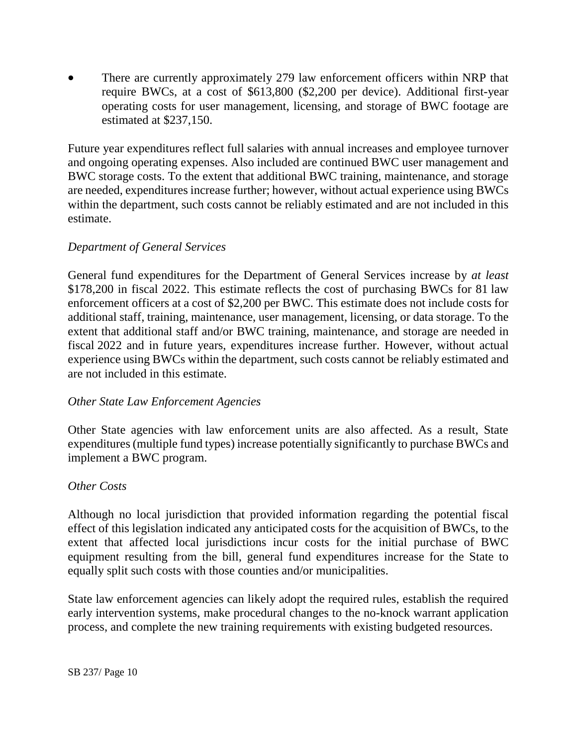There are currently approximately 279 law enforcement officers within NRP that require BWCs, at a cost of \$613,800 (\$2,200 per device). Additional first-year operating costs for user management, licensing, and storage of BWC footage are estimated at \$237,150.

Future year expenditures reflect full salaries with annual increases and employee turnover and ongoing operating expenses. Also included are continued BWC user management and BWC storage costs. To the extent that additional BWC training, maintenance, and storage are needed, expenditures increase further; however, without actual experience using BWCs within the department, such costs cannot be reliably estimated and are not included in this estimate.

### *Department of General Services*

General fund expenditures for the Department of General Services increase by *at least* \$178,200 in fiscal 2022. This estimate reflects the cost of purchasing BWCs for 81 law enforcement officers at a cost of \$2,200 per BWC. This estimate does not include costs for additional staff, training, maintenance, user management, licensing, or data storage. To the extent that additional staff and/or BWC training, maintenance, and storage are needed in fiscal 2022 and in future years, expenditures increase further. However, without actual experience using BWCs within the department, such costs cannot be reliably estimated and are not included in this estimate.

### *Other State Law Enforcement Agencies*

Other State agencies with law enforcement units are also affected. As a result, State expenditures (multiple fund types) increase potentially significantly to purchase BWCs and implement a BWC program.

#### *Other Costs*

Although no local jurisdiction that provided information regarding the potential fiscal effect of this legislation indicated any anticipated costs for the acquisition of BWCs, to the extent that affected local jurisdictions incur costs for the initial purchase of BWC equipment resulting from the bill, general fund expenditures increase for the State to equally split such costs with those counties and/or municipalities.

State law enforcement agencies can likely adopt the required rules, establish the required early intervention systems, make procedural changes to the no-knock warrant application process, and complete the new training requirements with existing budgeted resources.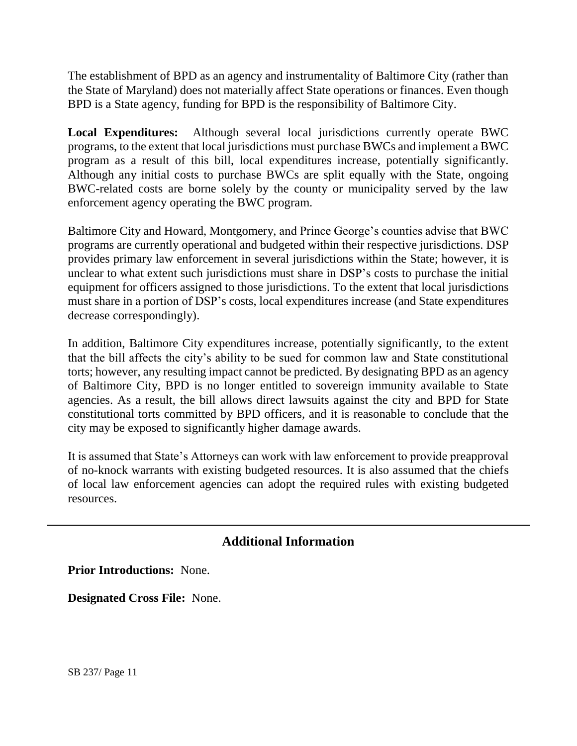The establishment of BPD as an agency and instrumentality of Baltimore City (rather than the State of Maryland) does not materially affect State operations or finances. Even though BPD is a State agency, funding for BPD is the responsibility of Baltimore City.

**Local Expenditures:** Although several local jurisdictions currently operate BWC programs, to the extent that local jurisdictions must purchase BWCs and implement a BWC program as a result of this bill, local expenditures increase, potentially significantly. Although any initial costs to purchase BWCs are split equally with the State, ongoing BWC-related costs are borne solely by the county or municipality served by the law enforcement agency operating the BWC program.

Baltimore City and Howard, Montgomery, and Prince George's counties advise that BWC programs are currently operational and budgeted within their respective jurisdictions. DSP provides primary law enforcement in several jurisdictions within the State; however, it is unclear to what extent such jurisdictions must share in DSP's costs to purchase the initial equipment for officers assigned to those jurisdictions. To the extent that local jurisdictions must share in a portion of DSP's costs, local expenditures increase (and State expenditures decrease correspondingly).

In addition, Baltimore City expenditures increase, potentially significantly, to the extent that the bill affects the city's ability to be sued for common law and State constitutional torts; however, any resulting impact cannot be predicted. By designating BPD as an agency of Baltimore City, BPD is no longer entitled to sovereign immunity available to State agencies. As a result, the bill allows direct lawsuits against the city and BPD for State constitutional torts committed by BPD officers, and it is reasonable to conclude that the city may be exposed to significantly higher damage awards.

It is assumed that State's Attorneys can work with law enforcement to provide preapproval of no-knock warrants with existing budgeted resources. It is also assumed that the chiefs of local law enforcement agencies can adopt the required rules with existing budgeted resources.

# **Additional Information**

**Prior Introductions:** None.

**Designated Cross File:** None.